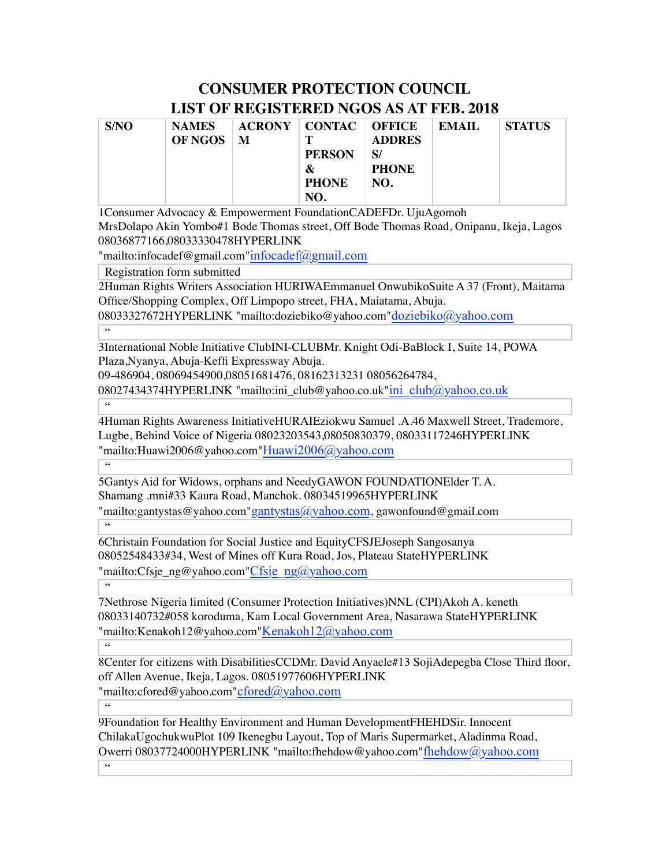## **CONSUMER PROTECTION COUNCIL LIST OF REGISTERED NGOS AS AT FEB. 2018**

| S/NO | <b>NAMES</b>   |   | <b>ACRONY   CONTAC   OFFICE</b> |               | EMAIL | <b>STATUS</b> |
|------|----------------|---|---------------------------------|---------------|-------|---------------|
|      | <b>OF NGOS</b> | M | т                               | <b>ADDRES</b> |       |               |
|      |                |   | <b>PERSON</b>                   | S/            |       |               |
|      |                |   | &                               | <b>PHONE</b>  |       |               |
|      |                |   | <b>PHONE</b>                    | NO.           |       |               |
|      |                |   | NO.                             |               |       |               |

1Consumer Advocacy & Empowerment FoundationCADEFDr. UjuAgomoh

MrsDolapo Akin Yombo#1 Bode Thomas street, Off Bode Thomas Road, Onipanu, Ikeja, Lagos 08036877166,08033330478HYPERLINK

"mailto:infocadef@gmail.com"infocadef@gmail.com

Registration form submitted

2Human Rights Writers Association HURIWAEmmanuel OnwubikoSuite A 37 (Front), Maitama Office/Shopping Complex, Off Limpopo street, FHA, Maiatama, Abuja.

08033327672HYPERLINK "mailto:doziebiko@yahoo.com"doziebiko@yahoo.com  $\overline{\cdots}$ 

3International Noble Initiative ClubINI-CLUBMr. Knight Odi-BaBlock I, Suite 14, POWA Plaza,Nyanya, Abuja-Keffi Expressway Abuja.

09-486904, 08069454900,08051681476, 08162313231 08056264784,

08027434374HYPERLINK "mailto:ini\_club@yahoo.co.uk"ini\_club@yahoo.co.uk

 $\overline{\omega}$ 

4Human Rights Awareness InitiativeHURAIEziokwu Samuel .A.46 Maxwell Street, Trademore, Lugbe, Behind Voice of Nigeria 08023203543,08050830379, 08033117246HYPERLINK "mailto:Huawi2006@yahoo.com"Huawi2006@yahoo.com

 $\overline{\epsilon}$ 

5Gantys Aid for Widows, orphans and NeedyGAWON FOUNDATIONElder T. A. Shamang .mni#33 Kaura Road, Manchok. 08034519965HYPERLINK "mailto:gantystas@yahoo.com"gantystas@yahoo.com, gawonfound@gmail.com

 $-66$ 

 $\overline{66}$ 

6Christain Foundation for Social Justice and EquityCFSJEJoseph Sangosanya 08052548433#34, West of Mines off Kura Road, Jos, Plateau StateHYPERLINK "mailto:Cfsje\_ng@yahoo.com"Cfsje\_ng@yahoo.com

7Nethrose Nigeria limited (Consumer Protection Initiatives)NNL (CPI)Akoh A. keneth 08033140732#058 koroduma, Kam Local Government Area, Nasarawa StateHYPERLINK "mailto:Kenakoh12@yahoo.com"Kenakoh12@yahoo.com

 $\overline{\cdots}$ 

8Center for citizens with DisabilitiesCCDMr. David Anyaele#13 SojiAdepegba Close Third floor, off Allen Avenue, Ikeja, Lagos. 08051977606HYPERLINK "mailto:cfored@yahoo.com"cfored@yahoo.com

 $\overline{\mathbf{G}}$ 

9Foundation for Healthy Environment and Human DevelopmentFHEHDSir. Innocent ChilakaUgochukwuPlot 109 Ikenegbu Layout, Top of Maris Supermarket, Aladinma Road, Owerri 08037724000HYPERLINK "mailto:fhehdow@yahoo.com"fhehdow@yahoo.com  $66$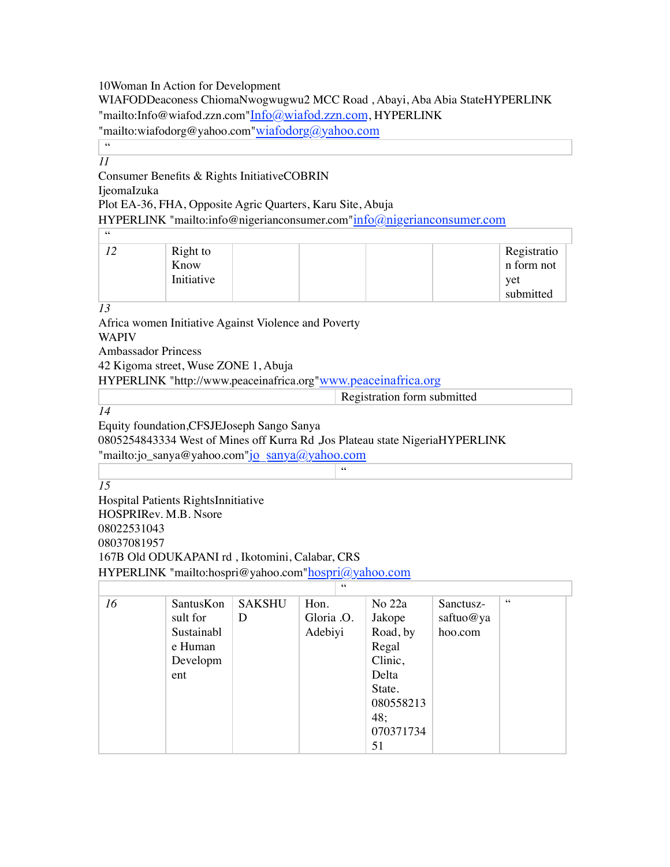10Woman In Action for Development

WIAFODDeaconess ChiomaNwogwugwu2 MCC Road , Abayi, Aba Abia StateHYPERLINK "mailto:Info@wiafod.zzn.com"Info@wiafod.zzn.com, HYPERLINK

"mailto:wiafodorg@yahoo.com"wiafodorg@yahoo.com

 $-66$ *11*

## Consumer Benefits & Rights InitiativeCOBRIN

IjeomaIzuka

Plot EA-36, FHA, Opposite Agric Quarters, Karu Site, Abuja

HYPERLINK "mailto:info@nigerianconsumer.com"info@nigerianconsumer.com

| 66 |                                |                                               |
|----|--------------------------------|-----------------------------------------------|
|    | Right to<br>Know<br>Initiative | Registratio<br>n form not<br>yet<br>submitted |

*13*

Africa women Initiative Against Violence and Poverty

WAPIV

Ambassador Princess

42 Kigoma street, Wuse ZONE 1, Abuja

HYPERLINK "http://www.peaceinafrica.org"www.peaceinafrica.org

| stration form submitted<br> |
|-----------------------------|
|                             |

"

Equity foundation,CFSJEJoseph Sango Sanya

0805254843334 West of Mines off Kurra Rd ,Jos Plateau state NigeriaHYPERLINK

"mailto:jo\_sanya@yahoo.com"jo\_sanya@yahoo.com

*15*

Hospital Patients RightsInnitiative HOSPRIRev. M.B. Nsore 08022531043 08037081957 167B Old ODUKAPANI rd , Ikotomini, Calabar, CRS HYPERLINK "mailto:hospri@yahoo.com"hospri@yahoo.com

| 16 | SantusKon  | <b>SAKSHU</b> | Hon.       | No 22a    | Sanctusz- | 66 |  |
|----|------------|---------------|------------|-----------|-----------|----|--|
|    | sult for   | D             | Gloria .O. | Jakope    | saftuo@ya |    |  |
|    | Sustainabl |               | Adebiyi    | Road, by  | hoo.com   |    |  |
|    | e Human    |               |            | Regal     |           |    |  |
|    | Developm   |               |            | Clinic,   |           |    |  |
|    | ent        |               |            | Delta     |           |    |  |
|    |            |               |            | State.    |           |    |  |
|    |            |               |            | 080558213 |           |    |  |
|    |            |               |            | 48;       |           |    |  |
|    |            |               |            | 070371734 |           |    |  |
|    |            |               |            | 51        |           |    |  |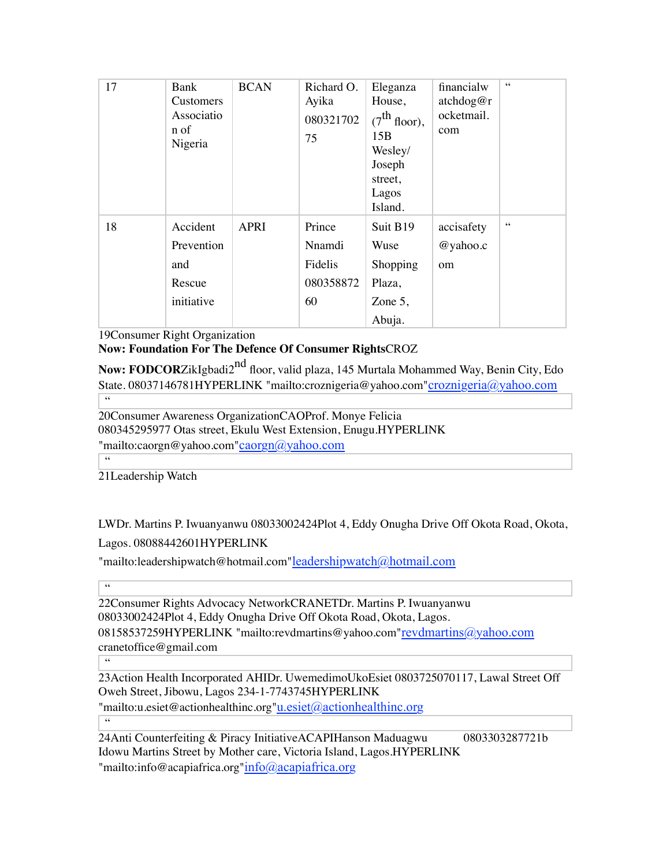| 17 | Bank<br>Customers<br>Associatio<br>n of<br>Nigeria    | <b>BCAN</b> | Richard O.<br>Ayika<br>080321702<br>75         | Eleganza<br>House,<br>$(7^{\text{th}})$ floor),<br>15B<br>Wesley/<br>Joseph<br>street,<br>Lagos<br>Island. | financialw<br>atchdog@r<br>ocketmail.<br>com | $\zeta\,\zeta$ |
|----|-------------------------------------------------------|-------------|------------------------------------------------|------------------------------------------------------------------------------------------------------------|----------------------------------------------|----------------|
| 18 | Accident<br>Prevention<br>and<br>Rescue<br>initiative | <b>APRI</b> | Prince<br>Nnamdi<br>Fidelis<br>080358872<br>60 | Suit B19<br>Wuse<br>Shopping<br>Plaza,<br>Zone $5$ ,<br>Abuja.                                             | accisafety<br>@yahoo.c<br>om                 | $\zeta\,\zeta$ |
|    |                                                       |             |                                                |                                                                                                            |                                              |                |

19Consumer Right Organization

**Now: Foundation For The Defence Of Consumer Rights**CROZ

**Now: FODCOR**ZikIgbadi2<sup>nd</sup> floor, valid plaza, 145 Murtala Mohammed Way, Benin City, Edo State. 08037146781HYPERLINK "mailto:croznigeria@yahoo.com"croznigeria@yahoo.com  $\overline{\cdots}$ 

20Consumer Awareness OrganizationCAOProf. Monye Felicia 080345295977 Otas street, Ekulu West Extension, Enugu.HYPERLINK "mailto:caorgn@yahoo.com"caorgn@yahoo.com

21Leadership Watch

LWDr. Martins P. Iwuanyanwu 08033002424Plot 4, Eddy Onugha Drive Off Okota Road, Okota, Lagos. 08088442601HYPERLINK

"mailto:leadershipwatch@hotmail.com"leadershipwatch@hotmail.com

 $\overline{66}$ 

"

22Consumer Rights Advocacy NetworkCRANETDr. Martins P. Iwuanyanwu 08033002424Plot 4, Eddy Onugha Drive Off Okota Road, Okota, Lagos. 08158537259HYPERLINK "mailto:revdmartins@yahoo.com"revdmartins@yahoo.com cranetoffice@gmail.com

 $\overline{\omega}$ 

23Action Health Incorporated AHIDr. UwemedimoUkoEsiet 0803725070117, Lawal Street Off Oweh Street, Jibowu, Lagos 234-1-7743745HYPERLINK

"mailto:u.esiet@actionhealthinc.org"u.esiet@actionhealthinc.org  $\overline{\cdots}$ 

24Anti Counterfeiting & Piracy InitiativeACAPIHanson Maduagwu 0803303287721b Idowu Martins Street by Mother care, Victoria Island, Lagos.HYPERLINK "mailto:info@acapiafrica.org"info@acapiafrica.org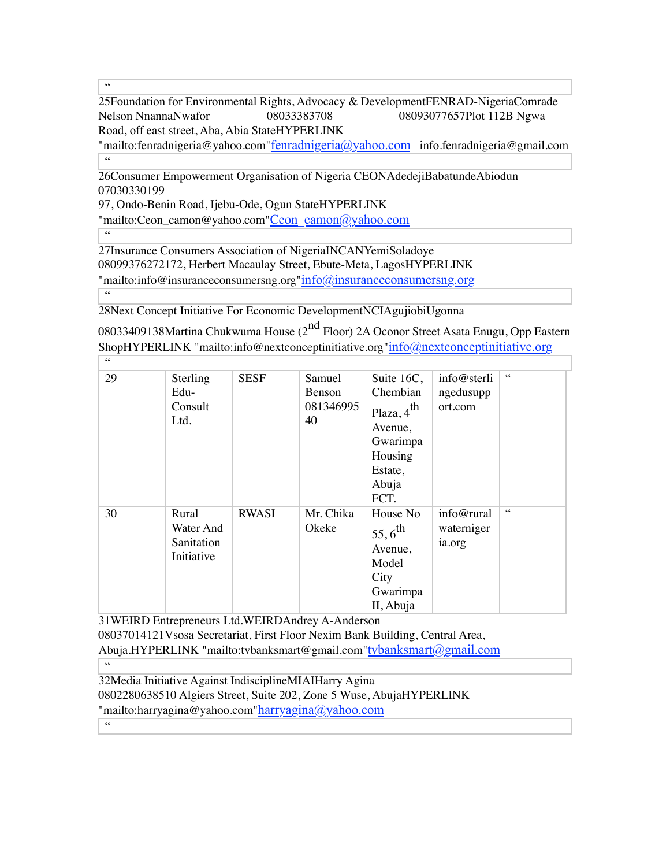$\overline{\mathcal{C}}$ 

25Foundation for Environmental Rights, Advocacy & DevelopmentFENRAD-NigeriaComrade Nelson NnannaNwafor 08033383708 08093077657Plot 112B Ngwa Road, off east street, Aba, Abia StateHYPERLINK

 $\text{``mailto:}$ fenradnigeria@yahoo.com" fenradnigeria $\textcircled{a}$ yahoo.com info.fenradnigeria@gmail.com  $-66$ 

26Consumer Empowerment Organisation of Nigeria CEONAdedejiBabatundeAbiodun 07030330199

97, Ondo-Benin Road, Ijebu-Ode, Ogun StateHYPERLINK

"mailto:Ceon\_camon@yahoo.com"Ceon\_camon@yahoo.com

"

27Insurance Consumers Association of NigeriaINCANYemiSoladoye 08099376272172, Herbert Macaulay Street, Ebute-Meta, LagosHYPERLINK "mailto:info@insuranceconsumersng.org"info@insuranceconsumersng.org  $\overline{\phantom{a}}$ 

28Next Concept Initiative For Economic DevelopmentNCIAgujiobiUgonna

08033409138Martina Chukwuma House  $(2^{nd}$  Floor) 2A Oconor Street Asata Enugu, Opp Eastern ShopHYPERLINK "mailto:info@nextconceptinitiative.org"info@nextconceptinitiative.org  $\overline{\phantom{a}}$ 

| 29 | Sterling                                       | <b>SESF</b>  | Samuel                    | Suite 16C,                                                                                       | info@sterli                        | $\zeta\,\zeta$ |
|----|------------------------------------------------|--------------|---------------------------|--------------------------------------------------------------------------------------------------|------------------------------------|----------------|
|    | Edu-<br>Consult<br>Ltd.                        |              | Benson<br>081346995<br>40 | Chembian<br>Plaza, 4 <sup>th</sup><br>Avenue,<br>Gwarimpa<br>Housing<br>Estate,<br>Abuja<br>FCT. | ngedusupp<br>ort.com               |                |
| 30 | Rural<br>Water And<br>Sanitation<br>Initiative | <b>RWASI</b> | Mr. Chika<br>Okeke        | House No<br>$55,6^{th}$<br>Avenue,<br>Model<br>City<br>Gwarimpa<br>II, Abuja                     | info@rural<br>waterniger<br>ia.org | 66             |

31WEIRD Entrepreneurs Ltd.WEIRDAndrey A-Anderson 08037014121Vsosa Secretariat, First Floor Nexim Bank Building, Central Area, Abuja.HYPERLINK "mailto:tvbanksmart@gmail.com"tvbanksmart@gmail.com

 $\overline{\mathbf{G}}$ 

32Media Initiative Against IndisciplineMIAIHarry Agina 0802280638510 Algiers Street, Suite 202, Zone 5 Wuse, AbujaHYPERLINK "mailto:harryagina@yahoo.com"harryagina@yahoo.com  $\overline{\omega}$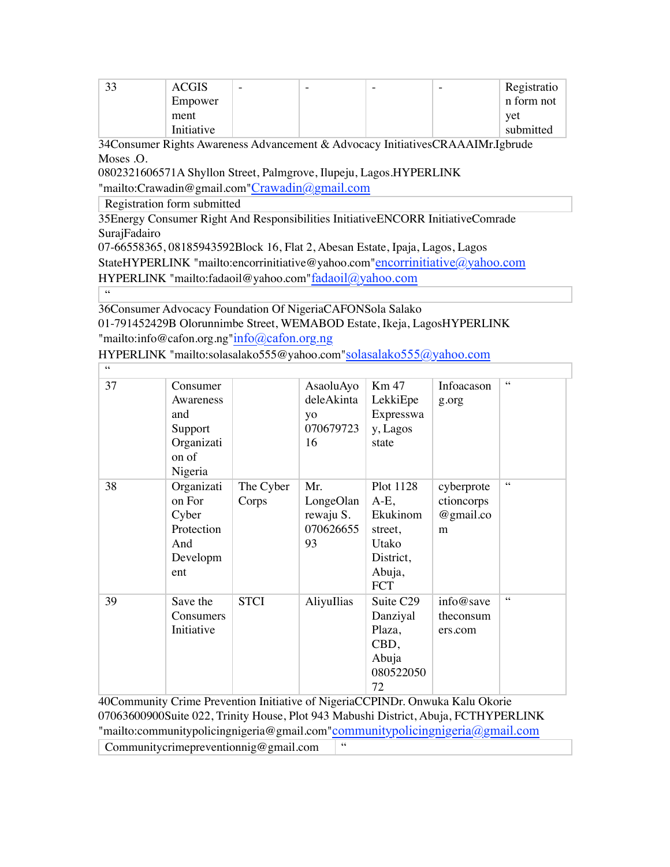| IJ | <b>ACGIS</b> | $\overline{\phantom{0}}$ | - | $\overline{\phantom{0}}$ | - | Registratio |
|----|--------------|--------------------------|---|--------------------------|---|-------------|
|    | Empower      |                          |   |                          |   | n form not  |
|    | ment         |                          |   |                          |   | vet         |
|    | Initiative   |                          |   |                          |   | submitted   |

34Consumer Rights Awareness Advancement & Advocacy InitiativesCRAAAIMr.Igbrude Moses .O.

0802321606571A Shyllon Street, Palmgrove, Ilupeju, Lagos.HYPERLINK

"mailto:Crawadin@gmail.com"Crawadin@gmail.com

Registration form submitted

35Energy Consumer Right And Responsibilities InitiativeENCORR InitiativeComrade SurajFadairo

07-66558365, 08185943592Block 16, Flat 2, Abesan Estate, Ipaja, Lagos, Lagos

StateHYPERLINK "mailto:encorrinitiative@yahoo.com"encorrinitiative@yahoo.com

HYPERLINK "mailto:fadaoil@yahoo.com"fadaoil@yahoo.com

 $-66$ 

 $\overline{\phantom{a}}$  66

36Consumer Advocacy Foundation Of NigeriaCAFONSola Salako 01-791452429B Olorunnimbe Street, WEMABOD Estate, Ikeja, LagosHYPERLINK "mailto:info@cafon.org.ng"info@cafon.org.ng

HYPERLINK "mailto:solasalako555@yahoo.com"solasalako555@yahoo.com

| 37 | Consumer<br>Awareness<br>and<br>Support<br>Organizati<br>on of<br>Nigeria |                    | AsaoluAyo<br>deleAkinta<br>yo<br>070679723<br>16 | Km 47<br>LekkiEpe<br>Expresswa<br>y, Lagos<br>state                                       | Infoacason<br>g.org                        | 66              |
|----|---------------------------------------------------------------------------|--------------------|--------------------------------------------------|-------------------------------------------------------------------------------------------|--------------------------------------------|-----------------|
| 38 | Organizati<br>on For<br>Cyber<br>Protection<br>And<br>Developm<br>ent     | The Cyber<br>Corps | Mr.<br>LongeOlan<br>rewaju S.<br>070626655<br>93 | Plot 1128<br>$A-E$ ,<br>Ekukinom<br>street,<br>Utako<br>District,<br>Abuja,<br><b>FCT</b> | cyberprote<br>ctioncorps<br>@gmail.co<br>m | $\zeta$ $\zeta$ |
| 39 | Save the<br>Consumers<br>Initiative                                       | <b>STCI</b>        | AliyuIlias                                       | Suite C <sub>29</sub><br>Danziyal<br>Plaza,<br>CBD,<br>Abuja<br>080522050<br>72           | info@save<br>theconsum<br>ers.com          | $\zeta\,\zeta$  |

40Community Crime Prevention Initiative of NigeriaCCPINDr. Onwuka Kalu Okorie 07063600900Suite 022, Trinity House, Plot 943 Mabushi District, Abuja, FCTHYPERLINK "mailto:communitypolicingnigeria@gmail.com"communitypolicingnigeria@gmail.com

Communitycrimepreventionnig@gmail.com <sup>"</sup>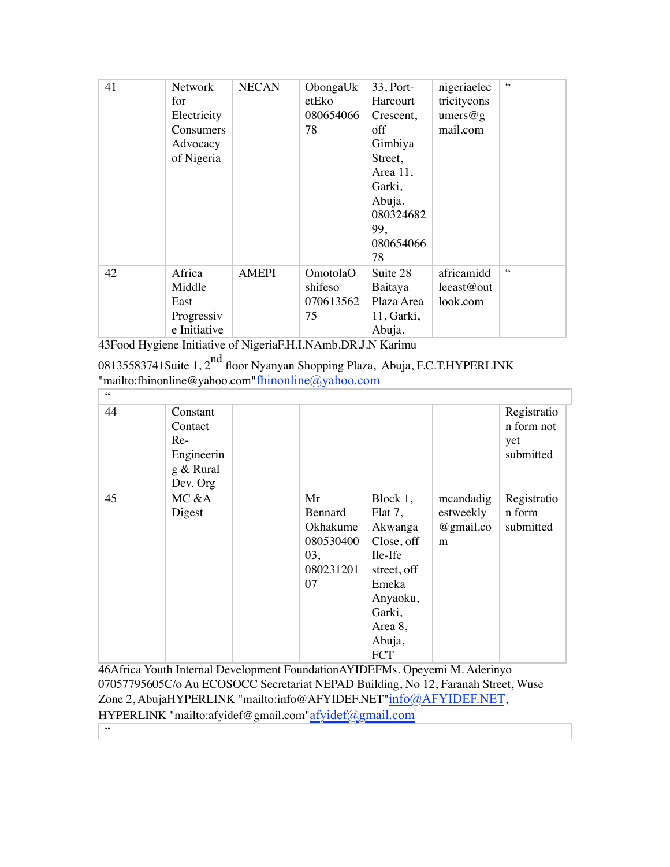| 41 | <b>Network</b><br>for<br>Electricity<br>Consumers<br>Advocacy<br>of Nigeria | <b>NECAN</b> | ObongaUk<br>etEko<br>080654066<br>78   | 33, Port-<br>Harcourt<br>Crescent,<br>off<br>Gimbiya<br>Street,<br>Area 11,<br>Garki,<br>Abuja.<br>080324682<br>99,<br>080654066<br>78 | nigeriaelec<br>tricitycons<br>umers@g<br>mail.com | $\zeta \zeta$ |
|----|-----------------------------------------------------------------------------|--------------|----------------------------------------|----------------------------------------------------------------------------------------------------------------------------------------|---------------------------------------------------|---------------|
| 42 | Africa<br>Middle<br>East<br>Progressiv<br>e Initiative                      | <b>AMEPI</b> | OmotolaO<br>shifeso<br>070613562<br>75 | Suite 28<br>Baitaya<br>Plaza Area<br>11, Garki,<br>Abuja.                                                                              | africamidd<br>leeast@out<br>look.com              | 66            |

43Food Hygiene Initiative of NigeriaF.H.I.NAmb.DR.J.N Karimu

| 08135583741Suite 1, 2 <sup>nd</sup> floor Nyanyan Shopping Plaza, Abuja, F.C.T.HYPERLINK |
|------------------------------------------------------------------------------------------|
| "mailto:fhinonline@yahoo.com" $\underline{\text{fhinonline}(a\text{yahoo.com}}$          |
|                                                                                          |

| 44 | Constant<br>Contact<br>$Re-$<br>Engineerin<br>g & Rural<br>Dev. Org |                                                                  |                                                                                                                                          |                                          | Registratio<br>n form not<br>yet<br>submitted |
|----|---------------------------------------------------------------------|------------------------------------------------------------------|------------------------------------------------------------------------------------------------------------------------------------------|------------------------------------------|-----------------------------------------------|
| 45 | MC &A<br>Digest                                                     | Mr<br>Bennard<br>Okhakume<br>080530400<br>03,<br>080231201<br>07 | Block 1,<br>Flat 7,<br>Akwanga<br>Close, off<br>Ile-Ife<br>street, off<br>Emeka<br>Anyaoku,<br>Garki,<br>Area 8,<br>Abuja,<br><b>FCT</b> | mcandadig<br>estweekly<br>@gmail.co<br>m | Registratio<br>n form<br>submitted            |

46Africa Youth Internal Development FoundationAYIDEFMs. Opeyemi M. Aderinyo 07057795605C/o Au ECOSOCC Secretariat NEPAD Building, No 12, Faranah Street, Wuse Zone 2, AbujaHYPERLINK "mailto:info@AFYIDEF.NET"info@AFYIDEF.NET, HYPERLINK "mailto:afyidef@gmail.com"afyidef@gmail.com  $\overline{66}$